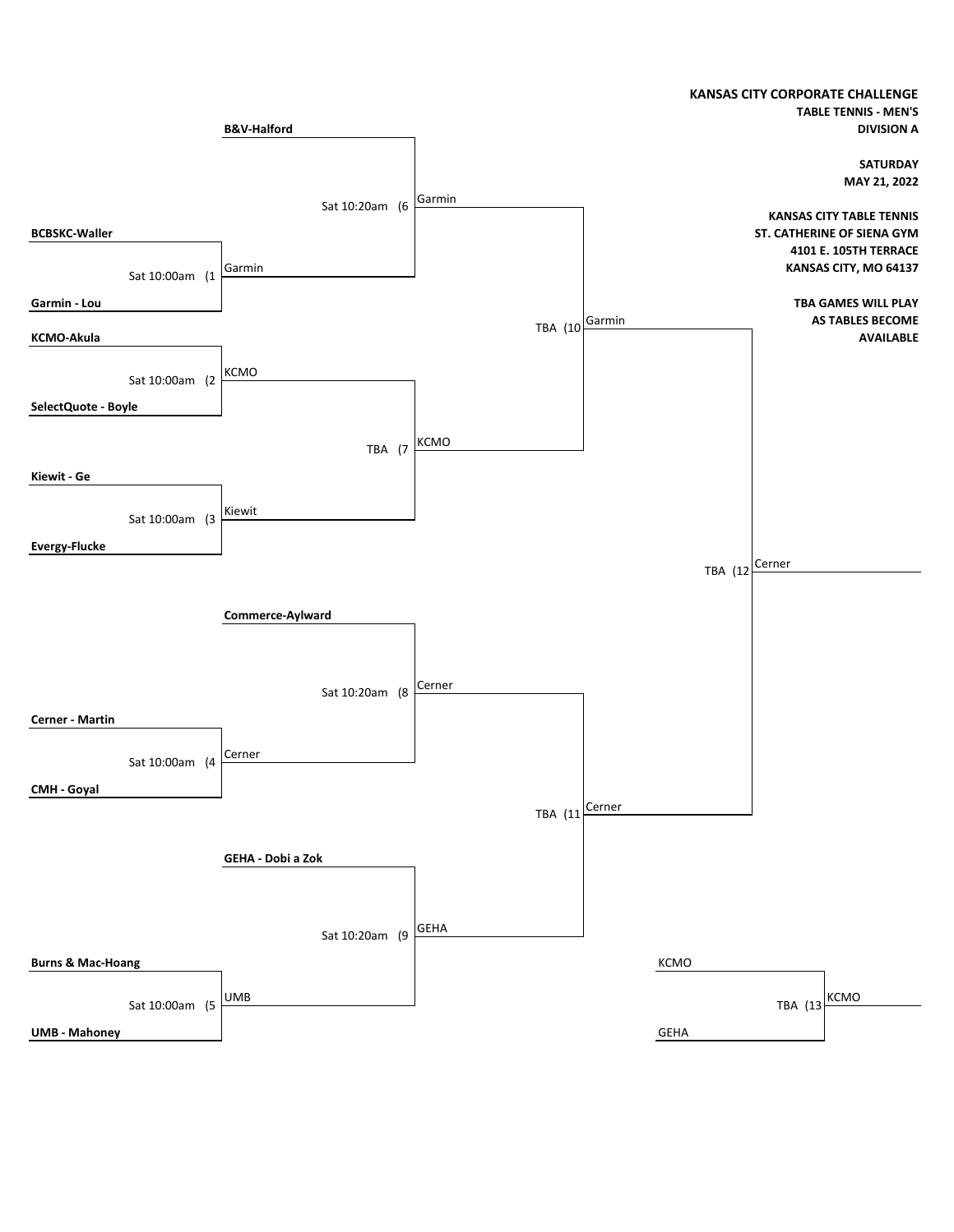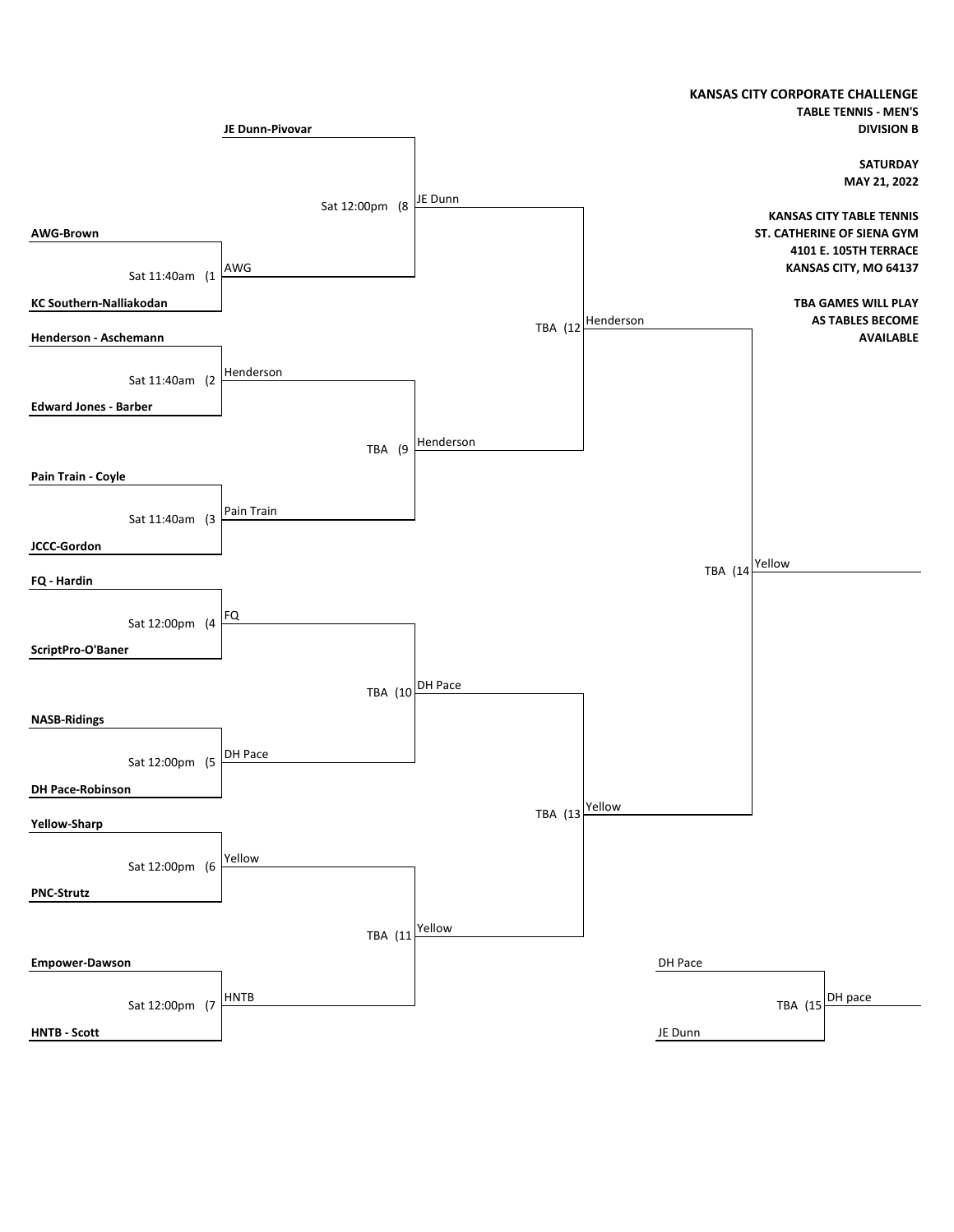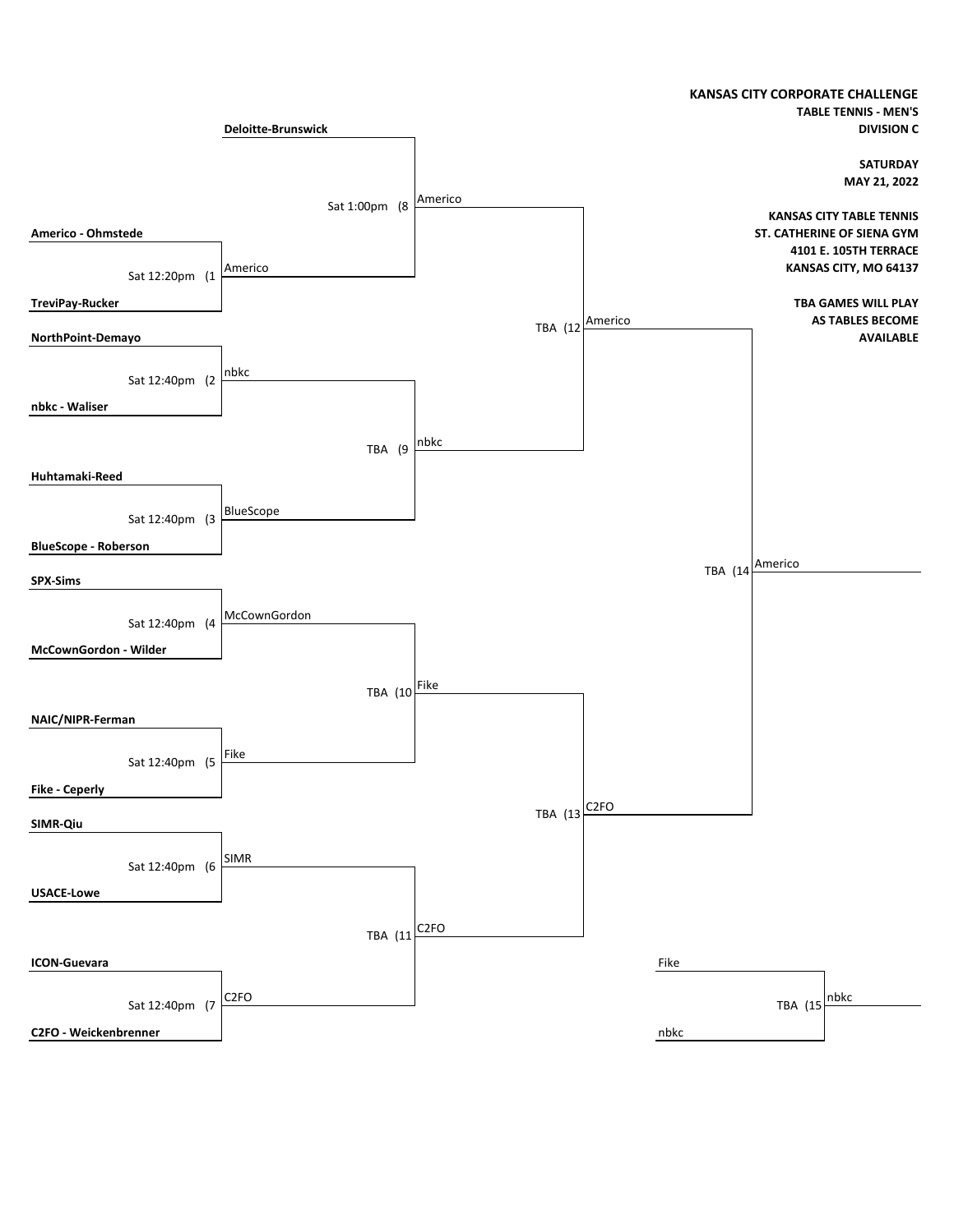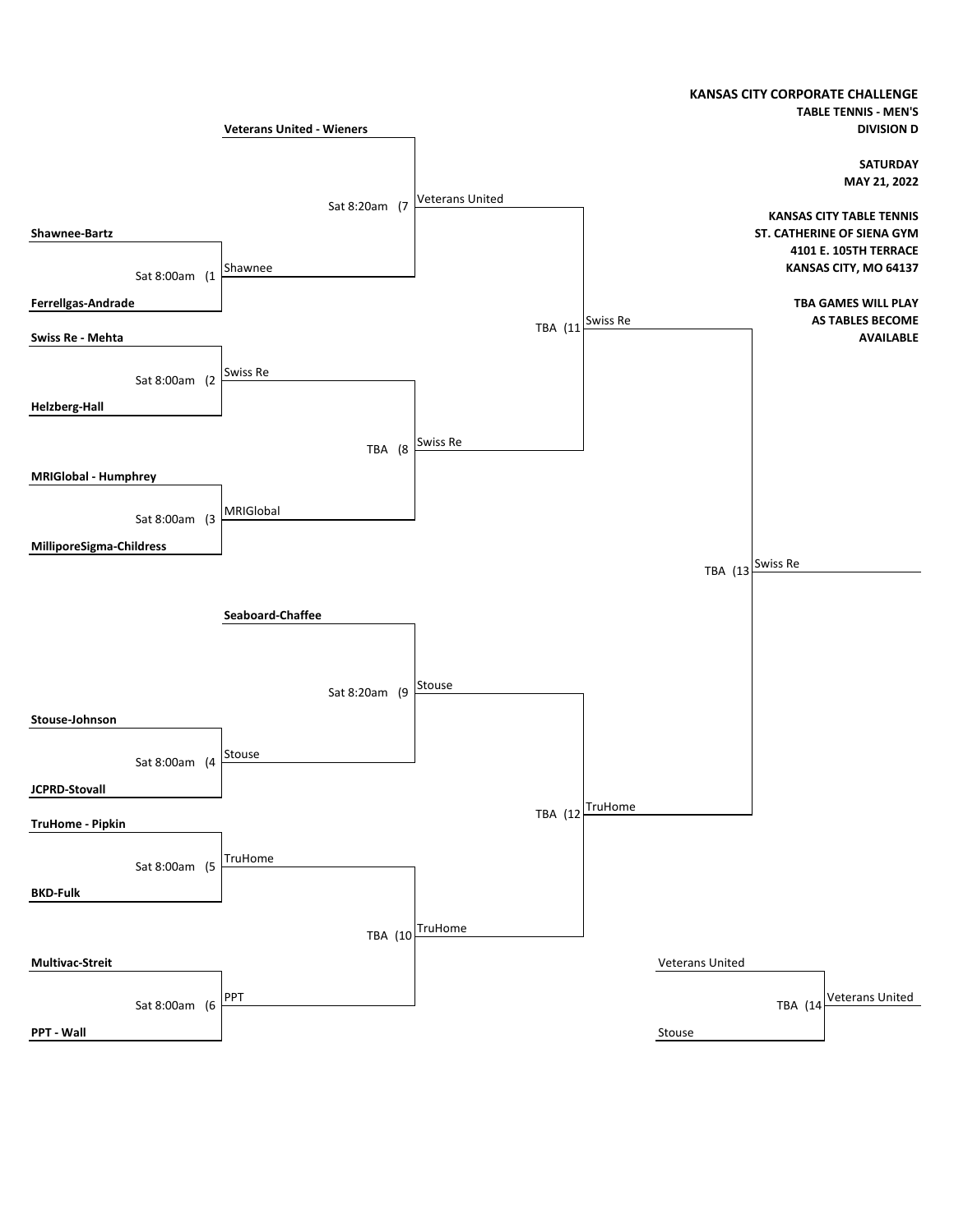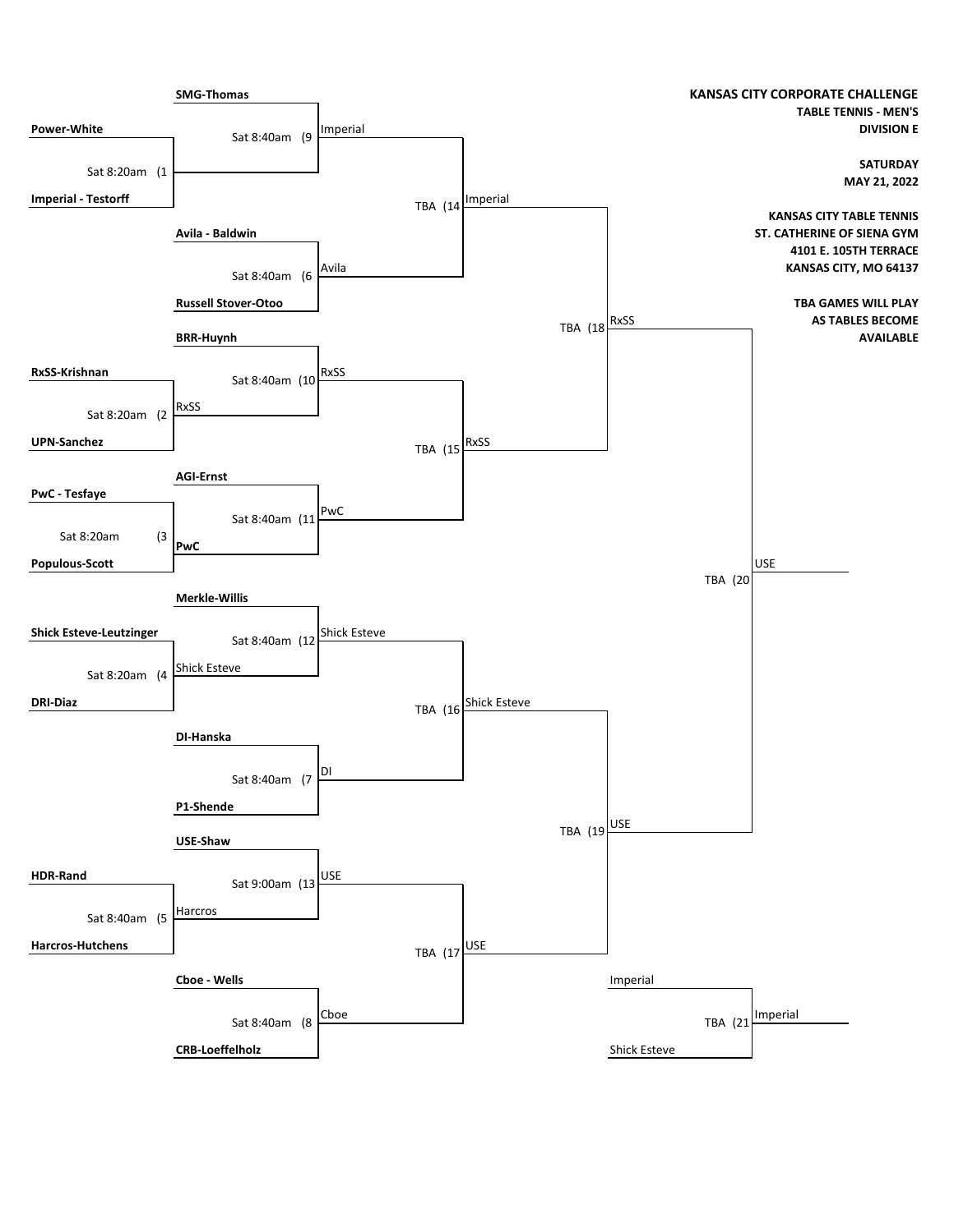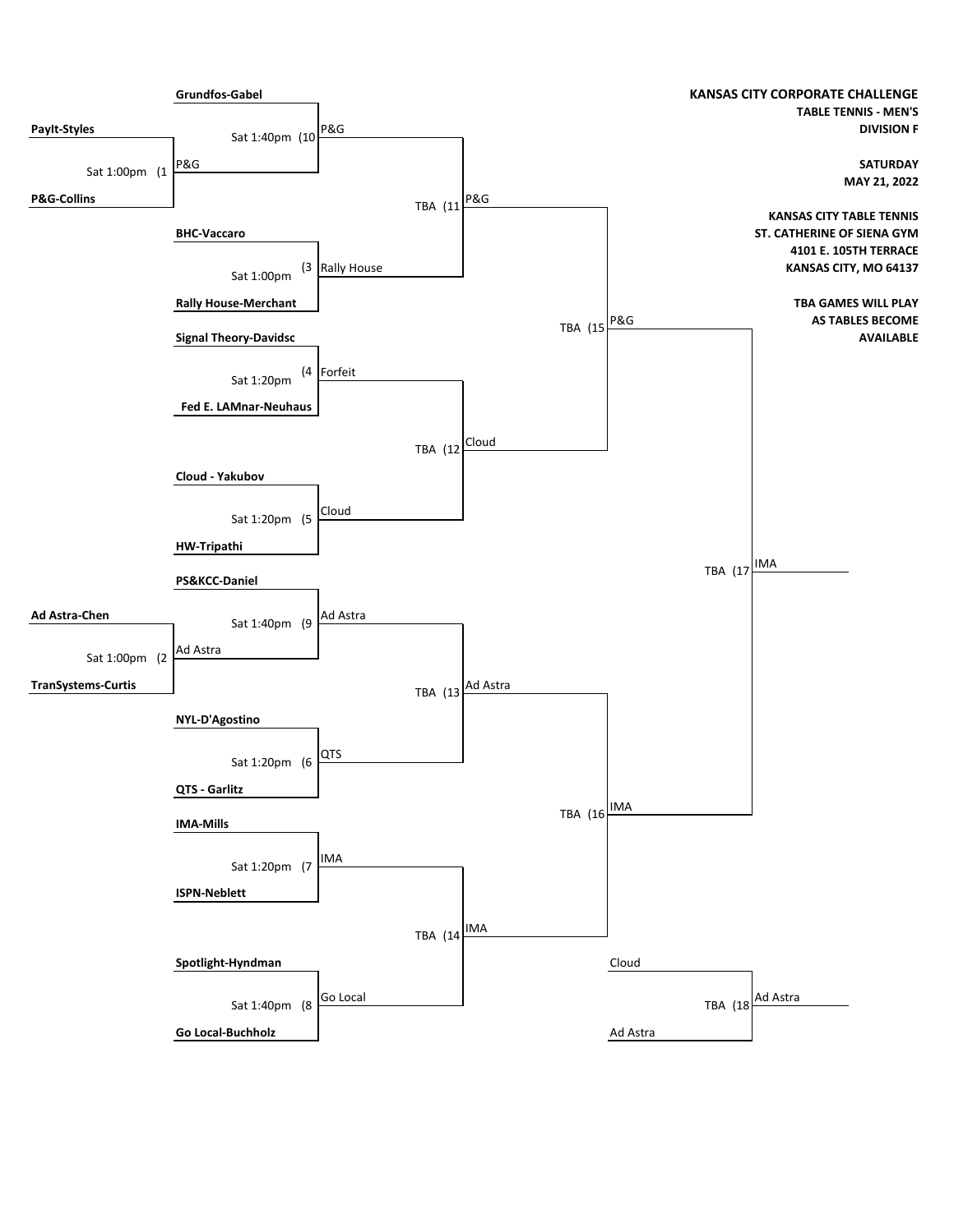